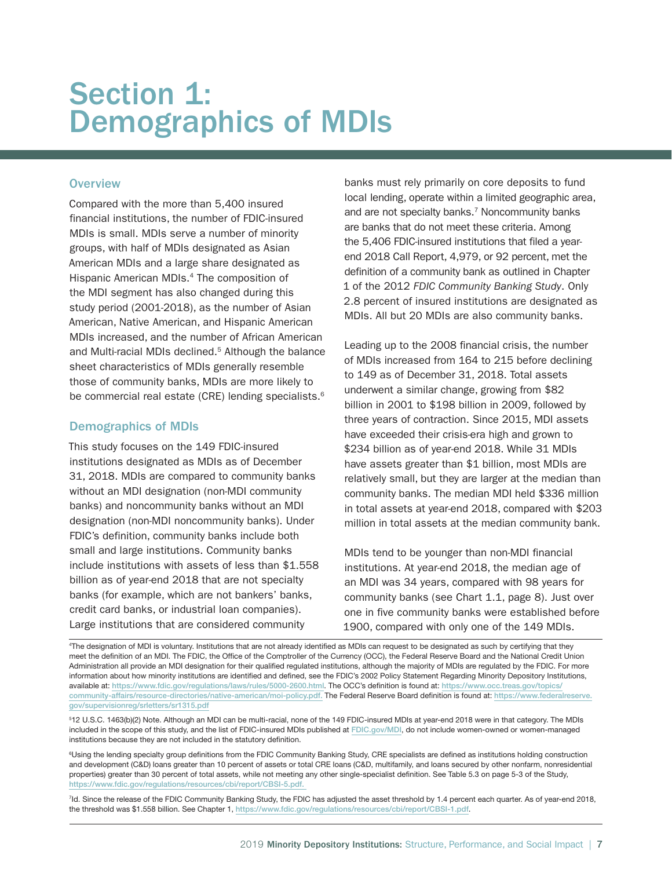# Section 1: Demographics of MDIs

# **Overview**

Compared with the more than 5,400 insured financial institutions, the number of FDIC-insured MDIs is small. MDIs serve a number of minority groups, with half of MDIs designated as Asian American MDIs and a large share designated as Hispanic American MDIs.4 The composition of the MDI segment has also changed during this study period (2001-2018), as the number of Asian American, Native American, and Hispanic American MDIs increased, and the number of African American and Multi-racial MDIs declined.<sup>5</sup> Although the balance sheet characteristics of MDIs generally resemble those of community banks, MDIs are more likely to be commercial real estate (CRE) lending specialists.<sup>6</sup>

# Demographics of MDIs

This study focuses on the 149 FDIC-insured institutions designated as MDIs as of December 31, 2018. MDIs are compared to community banks without an MDI designation (non-MDI community banks) and noncommunity banks without an MDI designation (non-MDI noncommunity banks). Under FDIC's definition, community banks include both small and large institutions. Community banks include institutions with assets of less than \$1.558 billion as of year-end 2018 that are not specialty banks (for example, which are not bankers' banks, credit card banks, or industrial loan companies). Large institutions that are considered community

banks must rely primarily on core deposits to fund local lending, operate within a limited geographic area, and are not specialty banks.<sup>7</sup> Noncommunity banks are banks that do not meet these criteria. Among the 5,406 FDIC-insured institutions that filed a yearend 2018 Call Report, 4,979, or 92 percent, met the definition of a community bank as outlined in Chapter 1 of the 2012 *FDIC Community Banking Study*. Only 2.8 percent of insured institutions are designated as MDIs. All but 20 MDIs are also community banks.

Leading up to the 2008 financial crisis, the number of MDIs increased from 164 to 215 before declining to 149 as of December 31, 2018. Total assets underwent a similar change, growing from \$82 billion in 2001 to \$198 billion in 2009, followed by three years of contraction. Since 2015, MDI assets have exceeded their crisis-era high and grown to \$234 billion as of year-end 2018. While 31 MDIs have assets greater than \$1 billion, most MDIs are relatively small, but they are larger at the median than community banks. The median MDI held \$336 million in total assets at year-end 2018, compared with \$203 million in total assets at the median community bank.

MDIs tend to be younger than non-MDI financial institutions. At year-end 2018, the median age of an MDI was 34 years, compared with 98 years for community banks (see Chart 1.1, page 8). Just over one in five community banks were established before 1900, compared with only one of the 149 MDIs.

4 The designation of MDI is voluntary. Institutions that are not already identified as MDIs can request to be designated as such by certifying that they meet the definition of an MDI. The FDIC, the Office of the Comptroller of the Currency (OCC), the Federal Reserve Board and the National Credit Union Administration all provide an MDI designation for their qualified regulated institutions, although the majority of MDIs are regulated by the FDIC. For more information about how minority institutions are identified and defined, see the FDIC's 2002 Policy Statement Regarding Minority Depository Institutions, available at: <https://www.fdic.gov/regulations/laws/rules/5000-2600.html>. The OCC's definition is found at: [https://www.occ.treas.gov/topics/](https://www.occ.treas.gov/topics/community-affairs/resource-directories/native-american/moi-policy.pdf) [community-affairs/resource-directories/native-american/moi-policy.pdf.](https://www.occ.treas.gov/topics/community-affairs/resource-directories/native-american/moi-policy.pdf) The Federal Reserve Board definition is found at: [https://www.federalreserve.](https://www.federalreserve.gov/supervisionreg/srletters/sr1315.pdf) [gov/supervisionreg/srletters/sr1315.pdf](https://www.federalreserve.gov/supervisionreg/srletters/sr1315.pdf)

5 12 U.S.C. 1463(b)(2) Note. Although an MDI can be multi-racial, none of the 149 FDIC-insured MDIs at year-end 2018 were in that category. The MDIs included in the scope of this study, and the list of FDIC-insured MDIs published at [FDIC.gov/MDI](http://www.FDIC.gov/MDI), do not include women-owned or women-managed institutions because they are not included in the statutory definition.

6 Using the lending specialty group definitions from the FDIC Community Banking Study, CRE specialists are defined as institutions holding construction and development (C&D) loans greater than 10 percent of assets or total CRE loans (C&D, multifamily, and loans secured by other nonfarm, nonresidential properties) greater than 30 percent of total assets, while not meeting any other single-specialist definition. See Table 5.3 on page 5-3 of the Study, [https://www.fdic.gov/regulations/resources/cbi/report/CBSI-5.pdf.](https://www.fdic.gov/regulations/resources/cbi/report/CBSI-5.pdf) 

7 Id. Since the release of the FDIC Community Banking Study, the FDIC has adjusted the asset threshold by 1.4 percent each quarter. As of year-end 2018, the threshold was \$1.558 billion. See Chapter 1, <https://www.fdic.gov/regulations/resources/cbi/report/CBSI-1.pdf>.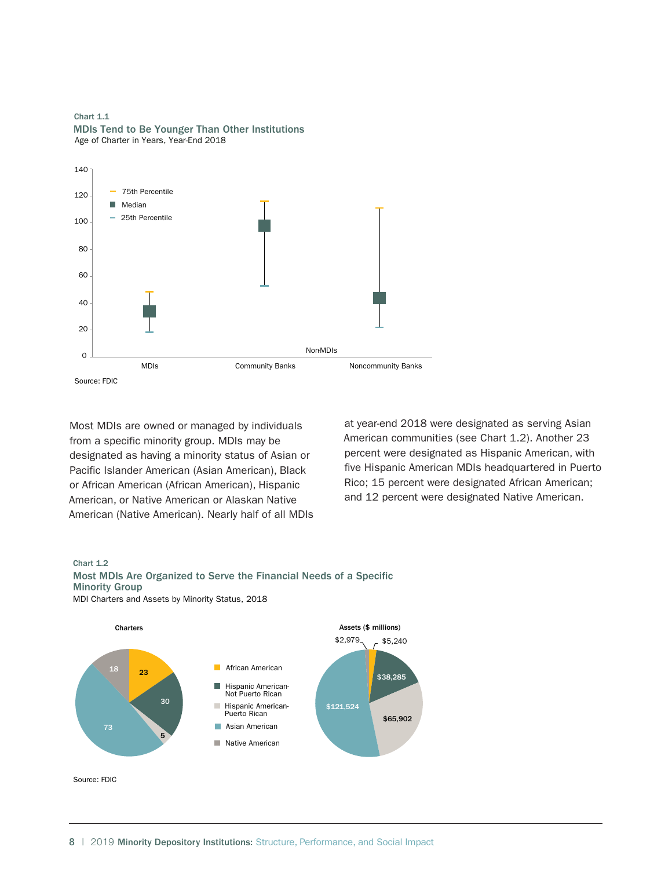Age of Charter in Years, Year-End 2018 Chart 1.1 MDIs Tend to Be Younger Than Other Institutions



Most MDIs are owned or managed by individuals from a specific minority group. MDIs may be designated as having a minority status of Asian or Pacific Islander American (Asian American), Black or African American (African American), Hispanic American, or Native American or Alaskan Native American (Native American). Nearly half of all MDIs

at year-end 2018 were designated as serving Asian American communities (see Chart 1.2). Another 23 percent were designated as Hispanic American, with five Hispanic American MDIs headquartered in Puerto Rico; 15 percent were designated African American; and 12 percent were designated Native American.

#### Chart 1.2



MDI Charters and Assets by Minority Status, 2018



Source: FDIC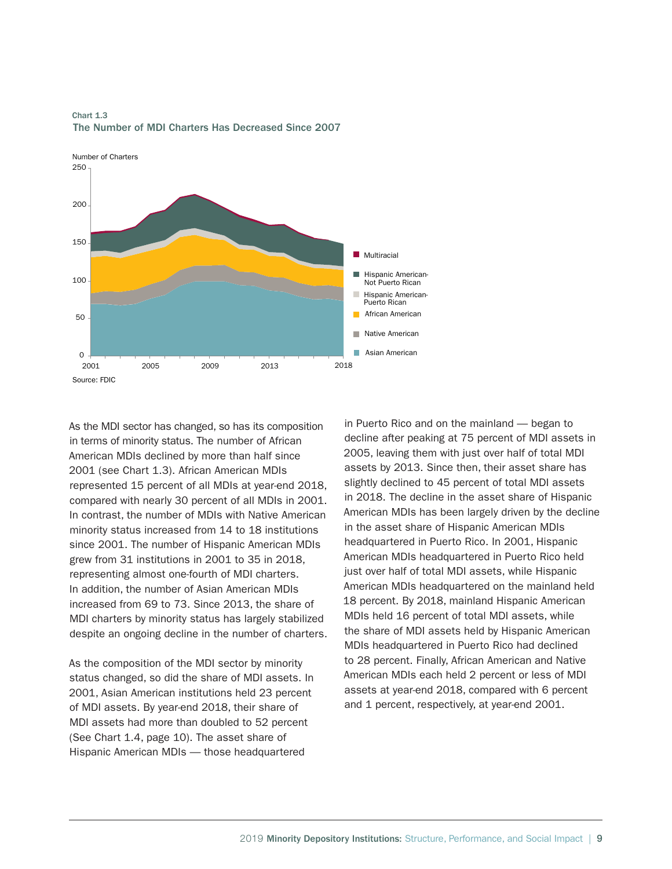

The Number of MDI Charters Has Decreased Since 2007 Chart 1.3

As the MDI sector has changed, so has its composition in terms of minority status. The number of African American MDIs declined by more than half since 2001 (see Chart 1.3). African American MDIs represented 15 percent of all MDIs at year-end 2018, compared with nearly 30 percent of all MDIs in 2001. In contrast, the number of MDIs with Native American minority status increased from 14 to 18 institutions since 2001. The number of Hispanic American MDIs grew from 31 institutions in 2001 to 35 in 2018, representing almost one-fourth of MDI charters. In addition, the number of Asian American MDIs increased from 69 to 73. Since 2013, the share of MDI charters by minority status has largely stabilized despite an ongoing decline in the number of charters.

As the composition of the MDI sector by minority status changed, so did the share of MDI assets. In 2001, Asian American institutions held 23 percent of MDI assets. By year-end 2018, their share of MDI assets had more than doubled to 52 percent (See Chart 1.4, page 10). The asset share of Hispanic American MDIs — those headquartered

in Puerto Rico and on the mainland — began to decline after peaking at 75 percent of MDI assets in 2005, leaving them with just over half of total MDI assets by 2013. Since then, their asset share has slightly declined to 45 percent of total MDI assets in 2018. The decline in the asset share of Hispanic American MDIs has been largely driven by the decline in the asset share of Hispanic American MDIs headquartered in Puerto Rico. In 2001, Hispanic American MDIs headquartered in Puerto Rico held just over half of total MDI assets, while Hispanic American MDIs headquartered on the mainland held 18 percent. By 2018, mainland Hispanic American MDIs held 16 percent of total MDI assets, while the share of MDI assets held by Hispanic American MDIs headquartered in Puerto Rico had declined to 28 percent. Finally, African American and Native American MDIs each held 2 percent or less of MDI assets at year-end 2018, compared with 6 percent and 1 percent, respectively, at year-end 2001.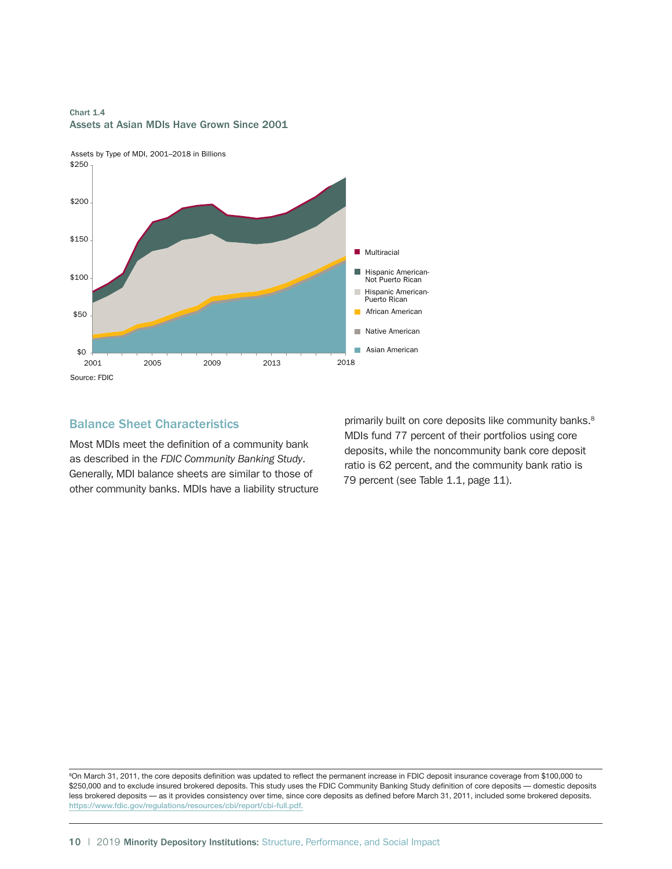



# Balance Sheet Characteristics

Most MDIs meet the definition of a community bank as described in the *FDIC Community Banking Study*. Generally, MDI balance sheets are similar to those of other community banks. MDIs have a liability structure

primarily built on core deposits like community banks.<sup>8</sup> MDIs fund 77 percent of their portfolios using core deposits, while the noncommunity bank core deposit ratio is 62 percent, and the community bank ratio is 79 percent (see Table 1.1, page 11).

8 On March 31, 2011, the core deposits definition was updated to reflect the permanent increase in FDIC deposit insurance coverage from \$100,000 to \$250,000 and to exclude insured brokered deposits. This study uses the FDIC Community Banking Study definition of core deposits — domestic deposits less brokered deposits — as it provides consistency over time, since core deposits as defined before March 31, 2011, included some brokered deposits. <https://www.fdic.gov/regulations/resources/cbi/report/cbi-full.pdf>.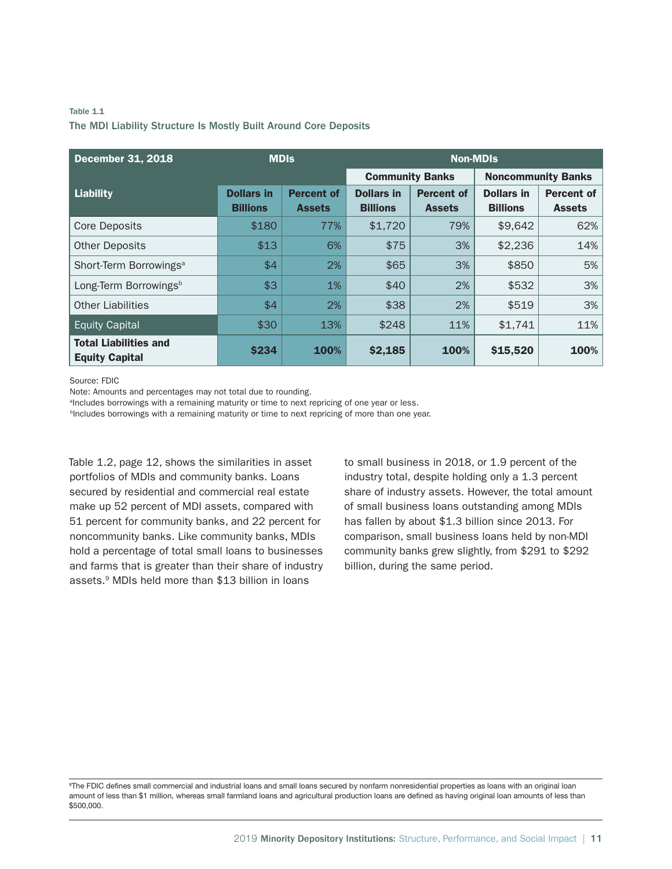## Table 1.1 The MDI Liability Structure Is Mostly Built Around Core Deposits

| <b>December 31, 2018</b>                              | <b>MDIS</b>       |                   | <b>Non-MDIs</b>        |                   |                           |                   |  |  |
|-------------------------------------------------------|-------------------|-------------------|------------------------|-------------------|---------------------------|-------------------|--|--|
|                                                       |                   |                   | <b>Community Banks</b> |                   | <b>Noncommunity Banks</b> |                   |  |  |
| <b>Liability</b>                                      | <b>Dollars in</b> | <b>Percent of</b> | <b>Dollars in</b>      | <b>Percent of</b> | <b>Dollars in</b>         | <b>Percent of</b> |  |  |
|                                                       | <b>Billions</b>   | <b>Assets</b>     | <b>Billions</b>        | <b>Assets</b>     | <b>Billions</b>           | <b>Assets</b>     |  |  |
| <b>Core Deposits</b>                                  | \$180             | 77%               | \$1,720                | 79%               | \$9,642                   | 62%               |  |  |
| <b>Other Deposits</b>                                 | \$13              | 6%                | \$75                   | 3%                | \$2,236                   | 14%               |  |  |
| Short-Term Borrowings <sup>a</sup>                    | \$4               | 2%                | \$65                   | 3%                | \$850                     | 5%                |  |  |
| Long-Term Borrowings <sup>b</sup>                     | \$3               | 1%                | \$40                   | 2%                | \$532                     | 3%                |  |  |
| <b>Other Liabilities</b>                              | \$4               | 2%                | \$38                   | 2%                | \$519                     | 3%                |  |  |
| <b>Equity Capital</b>                                 | \$30              | 13%               | \$248                  | 11%               | \$1,741                   | 11%               |  |  |
| <b>Total Liabilities and</b><br><b>Equity Capital</b> | <b>\$234</b>      | 100%              | \$2,185                | 100%              | \$15,520                  | 100%              |  |  |

Source: FDIC

Note: Amounts and percentages may not total due to rounding.

<sup>a</sup>lncludes borrowings with a remaining maturity or time to next repricing of one year or less.

<sup>b</sup>Includes borrowings with a remaining maturity or time to next repricing of more than one year.

Table 1.2, page 12, shows the similarities in asset portfolios of MDIs and community banks. Loans secured by residential and commercial real estate make up 52 percent of MDI assets, compared with 51 percent for community banks, and 22 percent for noncommunity banks. Like community banks, MDIs hold a percentage of total small loans to businesses and farms that is greater than their share of industry assets.9 MDIs held more than \$13 billion in loans

to small business in 2018, or 1.9 percent of the industry total, despite holding only a 1.3 percent share of industry assets. However, the total amount of small business loans outstanding among MDIs has fallen by about \$1.3 billion since 2013. For comparison, small business loans held by non-MDI community banks grew slightly, from \$291 to \$292 billion, during the same period.

9 The FDIC defines small commercial and industrial loans and small loans secured by nonfarm nonresidential properties as loans with an original loan amount of less than \$1 million, whereas small farmland loans and agricultural production loans are defined as having original loan amounts of less than \$500,000.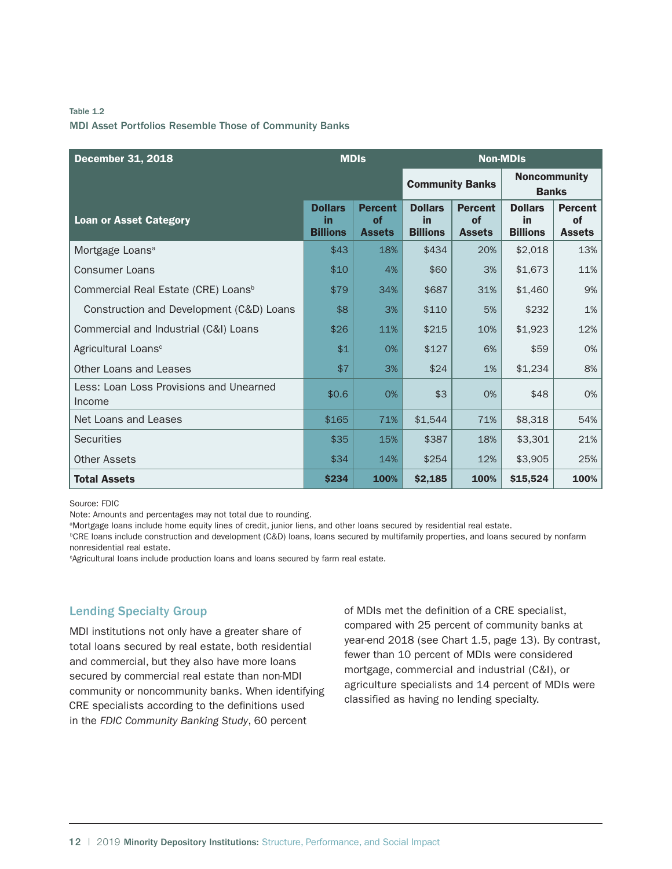## Table 1.2 MDI Asset Portfolios Resemble Those of Community Banks

| <b>December 31, 2018</b>                          | <b>MDIs</b>                             |                                              | <b>Non-MDIs</b>                                |                                              |                                         |                                                  |  |
|---------------------------------------------------|-----------------------------------------|----------------------------------------------|------------------------------------------------|----------------------------------------------|-----------------------------------------|--------------------------------------------------|--|
|                                                   |                                         |                                              | <b>Community Banks</b>                         |                                              | <b>Noncommunity</b><br><b>Banks</b>     |                                                  |  |
| <b>Loan or Asset Category</b>                     | <b>Dollars</b><br>in<br><b>Billions</b> | <b>Percent</b><br><b>of</b><br><b>Assets</b> | <b>Dollars</b><br><b>in</b><br><b>Billions</b> | <b>Percent</b><br><b>of</b><br><b>Assets</b> | <b>Dollars</b><br>in<br><b>Billions</b> | <b>Percent</b><br><sub>of</sub><br><b>Assets</b> |  |
| Mortgage Loans <sup>a</sup>                       | \$43                                    | 18%                                          | \$434                                          | 20%                                          | \$2,018                                 | 13%                                              |  |
| <b>Consumer Loans</b>                             | \$10                                    | 4%                                           | \$60                                           | 3%                                           | \$1,673                                 | 11%                                              |  |
| Commercial Real Estate (CRE) Loans <sup>b</sup>   | \$79                                    | 34%                                          | \$687                                          | 31%                                          | \$1,460                                 | 9%                                               |  |
| Construction and Development (C&D) Loans          | \$8                                     | 3%                                           | \$110                                          | 5%                                           | \$232                                   | 1%                                               |  |
| Commercial and Industrial (C&I) Loans             | \$26                                    | 11%                                          | \$215                                          | 10%                                          | \$1,923                                 | 12%                                              |  |
| Agricultural Loans <sup>c</sup>                   | \$1                                     | 0%                                           | \$127                                          | 6%                                           | \$59                                    | 0%                                               |  |
| Other Loans and Leases                            | \$7                                     | 3%                                           | \$24                                           | 1%                                           | \$1,234                                 | 8%                                               |  |
| Less: Loan Loss Provisions and Unearned<br>Income | \$0.6                                   | 0%                                           | \$3                                            | 0%                                           | \$48                                    | 0%                                               |  |
| Net Loans and Leases                              | \$165                                   | 71%                                          | \$1,544                                        | 71%                                          | \$8,318                                 | 54%                                              |  |
| <b>Securities</b>                                 | \$35                                    | 15%                                          | \$387                                          | 18%                                          | \$3,301                                 | 21%                                              |  |
| <b>Other Assets</b>                               | \$34                                    | 14%                                          | \$254                                          | 12%                                          | \$3,905                                 | 25%                                              |  |
| <b>Total Assets</b>                               | \$234                                   | 100%                                         | \$2,185                                        | 100%                                         | \$15,524                                | 100%                                             |  |

Source: FDIC

Note: Amounts and percentages may not total due to rounding.

a Mortgage loans include home equity lines of credit, junior liens, and other loans secured by residential real estate.

b CRE loans include construction and development (C&D) loans, loans secured by multifamily properties, and loans secured by nonfarm nonresidential real estate.

c Agricultural loans include production loans and loans secured by farm real estate.

## Lending Specialty Group

MDI institutions not only have a greater share of total loans secured by real estate, both residential and commercial, but they also have more loans secured by commercial real estate than non-MDI community or noncommunity banks. When identifying CRE specialists according to the definitions used in the *FDIC Community Banking Study*, 60 percent

of MDIs met the definition of a CRE specialist, compared with 25 percent of community banks at year-end 2018 (see Chart 1.5, page 13). By contrast, fewer than 10 percent of MDIs were considered mortgage, commercial and industrial (C&I), or agriculture specialists and 14 percent of MDIs were classified as having no lending specialty.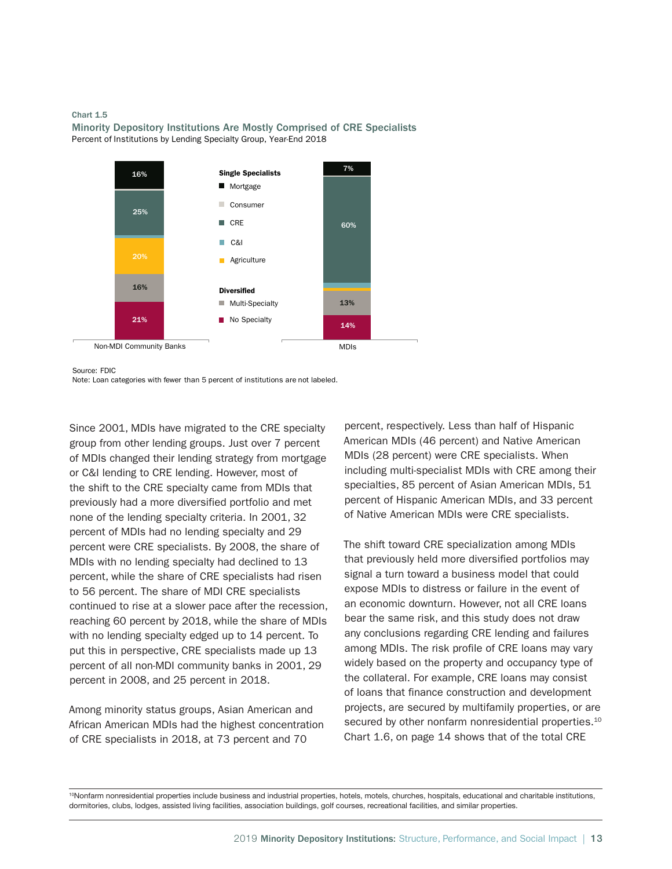#### Chart 1.5





Source: FDIC

Note: Loan categories with fewer than 5 percent of institutions are not labeled.

Since 2001, MDIs have migrated to the CRE specialty group from other lending groups. Just over 7 percent of MDIs changed their lending strategy from mortgage or C&I lending to CRE lending. However, most of the shift to the CRE specialty came from MDIs that previously had a more diversified portfolio and met none of the lending specialty criteria. In 2001, 32 percent of MDIs had no lending specialty and 29 percent were CRE specialists. By 2008, the share of MDIs with no lending specialty had declined to 13 percent, while the share of CRE specialists had risen to 56 percent. The share of MDI CRE specialists continued to rise at a slower pace after the recession, reaching 60 percent by 2018, while the share of MDIs with no lending specialty edged up to 14 percent. To put this in perspective, CRE specialists made up 13 percent of all non-MDI community banks in 2001, 29 percent in 2008, and 25 percent in 2018.

Among minority status groups, Asian American and African American MDIs had the highest concentration of CRE specialists in 2018, at 73 percent and 70

percent, respectively. Less than half of Hispanic American MDIs (46 percent) and Native American MDIs (28 percent) were CRE specialists. When including multi-specialist MDIs with CRE among their specialties, 85 percent of Asian American MDIs, 51 percent of Hispanic American MDIs, and 33 percent of Native American MDIs were CRE specialists.

The shift toward CRE specialization among MDIs that previously held more diversified portfolios may signal a turn toward a business model that could expose MDIs to distress or failure in the event of an economic downturn. However, not all CRE loans bear the same risk, and this study does not draw any conclusions regarding CRE lending and failures among MDIs. The risk profile of CRE loans may vary widely based on the property and occupancy type of the collateral. For example, CRE loans may consist of loans that finance construction and development projects, are secured by multifamily properties, or are secured by other nonfarm nonresidential properties.<sup>10</sup> Chart 1.6, on page 14 shows that of the total CRE

10Nonfarm nonresidential properties include business and industrial properties, hotels, motels, churches, hospitals, educational and charitable institutions, dormitories, clubs, lodges, assisted living facilities, association buildings, golf courses, recreational facilities, and similar properties.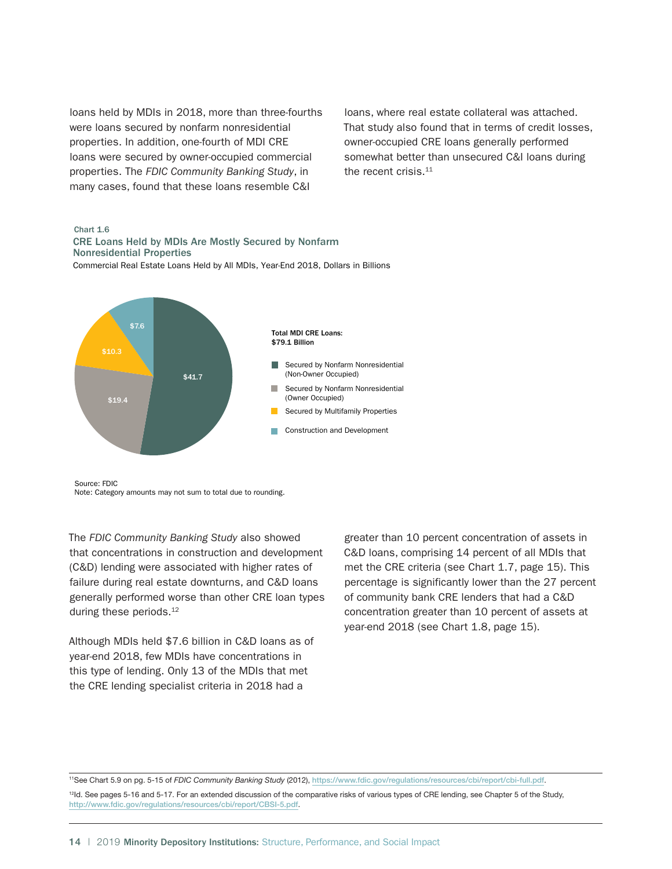loans held by MDIs in 2018, more than three-fourths were loans secured by nonfarm nonresidential properties. In addition, one-fourth of MDI CRE loans were secured by owner-occupied commercial properties. The *FDIC Community Banking Study*, in many cases, found that these loans resemble C&I

loans, where real estate collateral was attached. That study also found that in terms of credit losses, owner-occupied CRE loans generally performed somewhat better than unsecured C&I loans during the recent crisis.<sup>11</sup>

#### Chart 1.6

Commercial Real Estate Loans Held by All MDIs, Year-End 2018, Dollars in Billions CRE Loans Held by MDIs Are Mostly Secured by Nonfarm Nonresidential Properties



Source: FDIC

Note: Category amounts may not sum to total due to rounding.

The *FDIC Community Banking Study* also showed that concentrations in construction and development (C&D) lending were associated with higher rates of failure during real estate downturns, and C&D loans generally performed worse than other CRE loan types during these periods.<sup>12</sup>

Although MDIs held \$7.6 billion in C&D loans as of year-end 2018, few MDIs have concentrations in this type of lending. Only 13 of the MDIs that met the CRE lending specialist criteria in 2018 had a

greater than 10 percent concentration of assets in C&D loans, comprising 14 percent of all MDIs that met the CRE criteria (see Chart 1.7, page 15). This percentage is significantly lower than the 27 percent of community bank CRE lenders that had a C&D concentration greater than 10 percent of assets at year-end 2018 (see Chart 1.8, page 15).

11See Chart 5.9 on pg. 5-15 of *FDIC Community Banking Study* (2012), <https://www.fdic.gov/regulations/resources/cbi/report/cbi-full.pdf>.

<sup>12</sup>ld. See pages 5-16 and 5-17. For an extended discussion of the comparative risks of various types of CRE lending, see Chapter 5 of the Study, <http://www.fdic.gov/regulations/resources/cbi/report/CBSI-5.pdf>.